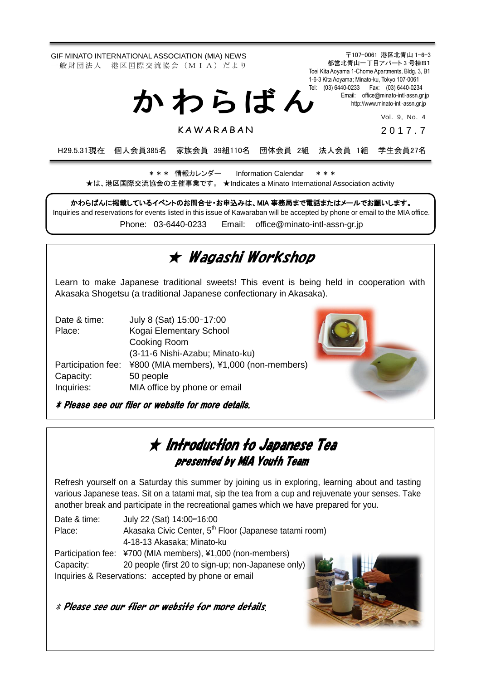GIF MINATO INTERNATIONAL ASSOCIATION (MIA) NEWS 一 般 財 団 法 人 港 区 国 際 交 流 協 会 (M I A) だ よ り

> Tel: (03) 6440-0233 Fax: (03) 6440-0234 か わ ら ば ん

> > **KAWARABAN**

Email: [office@minato-intl-assn.gr.jp](mailto:office@minato-intl-assn.gr.jp) [http://www.minato-intl-assn.gr.jp](http://www.minato-intl-assn.gr.jp/) Vol. 9, No. 4

〒107-0061 港区北青山 1-6-3 都営北青山一丁目アパート 3 号棟B1 Toei Kita Aoyama 1-Chome Apartments, Bldg. 3, B1 1-6-3 Kita Aoyama; Minato-ku, Tokyo 107-0061

201 7 . 7

H29.5.31現在 個人会員385名 家族会員 39組110名 団体会員 2組 法人会員 1組 学生会員27名

\* \* \* 情報カレンダー Information Calendar \* \* \* ★は、港区国際交流協会の主催事業です。 ★Indicates a Minato International Association activity

かわらばんに掲載しているイベントのお問合せ・お申込みは、MIA 事務局まで電話またはメールでお願いします。 Inquiries and reservations for events listed in this issue of Kawaraban will be accepted by phone or email to the MIA office. Phone: [03-6440-0233](mailto:TEL:%0903-6440-0233) Email: [office@minato-intl-assn-gr.jp](mailto:office@minato-intl-assn-gr.jp)

# ★ Wagashi Workshop

Learn to make Japanese traditional sweets! This event is being held in cooperation with Akasaka Shogetsu (a traditional Japanese confectionary in Akasaka).

| Date & time:       | July 8 (Sat) 15:00-17:00                 |  |
|--------------------|------------------------------------------|--|
| Place:             | Kogai Elementary School                  |  |
|                    | Cooking Room                             |  |
|                    | (3-11-6 Nishi-Azabu; Minato-ku)          |  |
| Participation fee: | ¥800 (MIA members), ¥1,000 (non-members) |  |
| Capacity:          | 50 people                                |  |
| Inquiries:         | MIA office by phone or email             |  |

\* Please see our flier or website for more details.



## ★ Introduction to Japanese Tea presented by MIA Youth Team

Refresh yourself on a Saturday this summer by joining us in exploring, learning about and tasting various Japanese teas. Sit on a tatami mat, sip the tea from a cup and rejuvenate your senses. Take another break and participate in the recreational games which we have prepared for you.

Date & time: July 22 (Sat) 14:00–16:00 Place: Akasaka Civic Center, 5<sup>th</sup> Floor (Japanese tatami room) 4-18-13 Akasaka; Minato-ku Participation fee: ¥700 (MIA members), ¥1,000 (non-members) Capacity: 20 people (first 20 to sign-up; non-Japanese only) Inquiries & Reservations: accepted by phone or email



\* Please see our flier or website for more details.